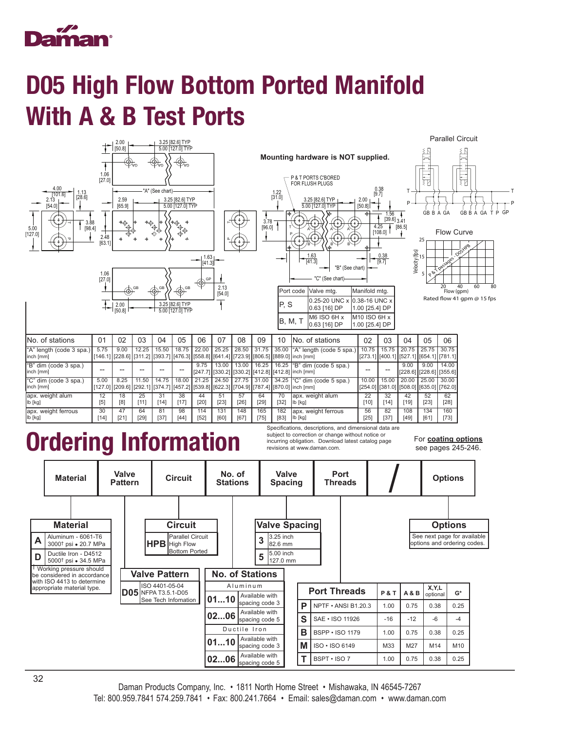

## D05 High Flow Bottom Ported Manifold With A & B Test Ports